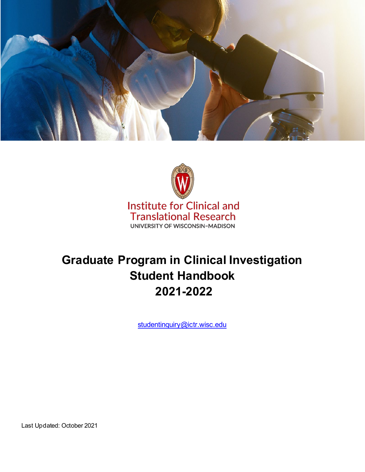



**Institute for Clinical and Translational Research** UNIVERSITY OF WISCONSIN-MADISON

# **Graduate Program in Clinical Investigation Student Handbook 2021-2022**

[studentinquiry@ictr.wisc.edu](mailto:studentinquiry@ictr.wisc.edu)

Last Updated: October 2021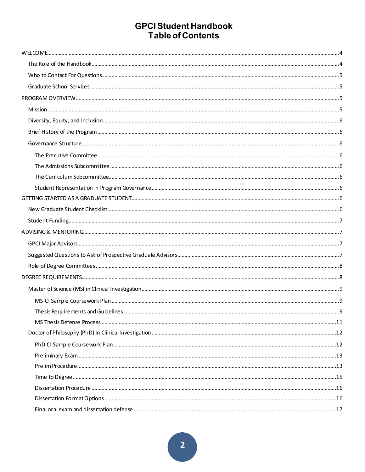## **GPCI Student Handbook Table of Contents**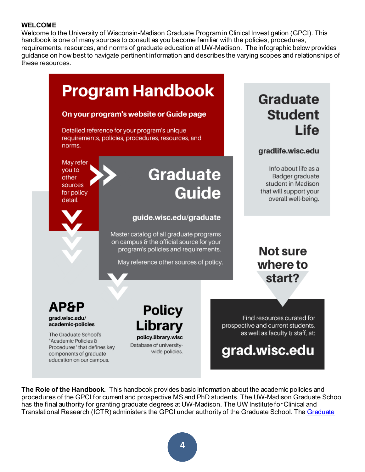#### <span id="page-3-0"></span>**WELCOME**

Welcome to the University of Wisconsin-Madison Graduate Program in Clinical Investigation (GPCI). This handbook is one of many sources to consult as you become familiar with the policies, procedures, requirements, resources, and norms of graduate education at UW-Madison. The infographic below provides guidance on how best to navigate pertinent information and describes the varying scopes and relationships of these resources.



<span id="page-3-1"></span>**The Role of the Handbook.** This handbook provides basic information about the academic policies and procedures of the GPCI for current and prospective MS and PhD students. The UW-Madison Graduate School has the final authority for granting graduate degrees at UW-Madison. The UW Institute for Clinical and Translational Research (ICTR) administers the GPCI under authority of the Graduate School. Th[e Graduate](https://grad.wisc.edu/academic-policies/)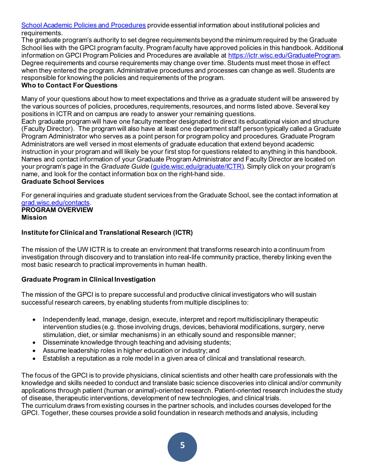[School Academic Policies and Procedures](https://grad.wisc.edu/academic-policies/) provide essential information about institutional policies and requirements.

The graduate program's authority to set degree requirements beyond the minimum required by the Graduate School lies with the GPCI program faculty. Program faculty have approved policies in this handbook. Additional information on GPCI Program Policies and Procedures are available at [https://ictr.wisc.edu/GraduateProgram.](https://ictr.wisc.edu/GraduateProgram) Degree requirements and course requirements may change over time. Students must meet those in effect when they entered the program. Administrative procedures and processes can change as well. Students are responsible for knowing the policies and requirements of the program.

## <span id="page-4-0"></span>**Who to Contact For Questions**

Many of your questions about how to meet expectations and thrive as a graduate student will be answered by the various sources of policies, procedures, requirements, resources, and norms listed above. Several key positions in ICTR and on campus are ready to answer your remaining questions.

Each graduate program will have one faculty member designated to direct its educational vision and structure (Faculty Director). The program will also have at least one department staff person typically called a Graduate Program Administrator who serves as a point person for program policy and procedures. Graduate Program Administrators are well versed in most elements of graduate education that extend beyond academic instruction in your program and will likely be your first stop for questions related to anything in this handbook. Names and contact information of your Graduate Program Administrator and Faculty Director are located on your program's page in the *Graduate Guide* [\(guide.wisc.edu/graduate/ICTR](https://guide.wisc.edu/graduate/institute-clinical-translational-research/)). Simply click on your program's name, and look for the contact information box on the right-hand side.

#### <span id="page-4-1"></span>**Graduate School Services**

For general inquiries and graduate student services from the Graduate School, see the contact information at [grad.wisc.edu/contacts](https://grad.wisc.edu/contacts/). **PROGRAM OVERVIEW**

#### <span id="page-4-3"></span><span id="page-4-2"></span>**Mission**

## **Institute for Clinical and Translational Research (ICTR)**

The mission of the UW ICTR is to create an environment that transforms research into a continuum from investigation through discovery and to translation into real-life community practice, thereby linking even the most basic research to practical improvements in human health.

## **Graduate Program in Clinical Investigation**

The mission of the GPCI is to prepare successful and productive clinical investigators who will sustain successful research careers, by enabling students from multiple disciplines to:

- Independently lead, manage, design, execute, interpret and report multidisciplinary therapeutic intervention studies (e.g. those involving drugs, devices, behavioral modifications, surgery, nerve stimulation, diet, or similar mechanisms) in an ethically sound and responsible manner;
- Disseminate knowledge through teaching and advising students;
- Assume leadership roles in higher education or industry; and
- Establish a reputation as a role model in a given area of clinical and translational research.

The focus of the GPCI is to provide physicians, clinical scientists and other health care professionals with the knowledge and skills needed to conduct and translate basic science discoveries into clinical and/or community applications through patient (human or animal)-oriented research. Patient-oriented research includes the study of disease, therapeutic interventions, development of new technologies, and clinical trials.

The curriculum draws from existing courses in the partner schools, and includes courses developed for the GPCI. Together, these courses provide a solid foundation in research methods and analysis, including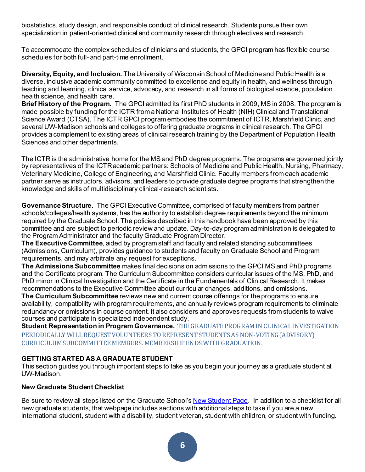biostatistics, study design, and responsible conduct of clinical research. Students pursue their own specialization in patient-oriented clinical and community research through electives and research.

To accommodate the complex schedules of clinicians and students, the GPCI program has flexible course schedules for both full- and part-time enrollment.

<span id="page-5-0"></span>**Diversity, Equity, and Inclusion.** The University of Wisconsin School of Medicine and Public Health is a diverse, inclusive academic community committed to excellence and equity in health, and wellness through teaching and learning, clinical service, advocacy, and research in all forms of biological science, population health science, and health care.

<span id="page-5-1"></span>**Brief History of the Program.** The GPCI admitted its first PhD students in 2009, MS in 2008. The program is made possible by funding for the ICTR from a National Institutes of Health (NIH) Clinical and Translational Science Award (CTSA). The ICTR GPCI program embodies the commitment of ICTR, Marshfield Clinic, and several UW-Madison schools and colleges to offering graduate programs in clinical research. The GPCI provides a complement to existing areas of clinical research training by the Department of Population Health Sciences and other departments.

The ICTR is the administrative home for the MS and PhD degree programs. The programs are governed jointly by representatives of the ICTRacademic partners: Schools of Medicine and Public Health, Nursing, Pharmacy, Veterinary Medicine, College of Engineering, and Marshfield Clinic. Faculty members from each academic partner serve as instructors, advisors, and leaders to provide graduate degree programs that strengthen the knowledge and skills of multidisciplinary clinical-research scientists.

<span id="page-5-2"></span>**GovernanceStructure.** The GPCI Executive Committee, comprised of faculty members from partner schools/colleges/health systems, has the authority to establish degree requirements beyond the minimum required by the Graduate School. The policies described in this handbook have been approved by this committee and are subject to periodic review and update. Day-to-day program administration is delegated to the Program Administrator and the faculty Graduate Program Director.

<span id="page-5-3"></span>**The Executive Committee**, aided by program staff and faculty and related standing subcommittees (Admissions, Curriculum), provides guidance to students and faculty on Graduate School and Program requirements, and may arbitrate any request for exceptions.

<span id="page-5-4"></span>**The Admissions Subcommittee** makes final decisions on admissions to the GPCI MS and PhD programs and the Certificate program. The Curriculum Subcommittee considers curricular issues of the MS, PhD, and PhD minor in Clinical Investigation and the Certificate in the Fundamentals of Clinical Research. It makes recommendations to the Executive Committee about curricular changes, additions, and omissions.

<span id="page-5-5"></span>**The Curriculum Subcommittee** reviews new and current course offerings for the programs to ensure availability, compatibility with program requirements, and annually reviews program requirements to eliminate redundancy or omissions in course content. It also considers and approves requests from students to waive courses and participate in specialized independent study.

<span id="page-5-6"></span>**Student Representation in Program Governance.** THE GRADUATE PROGRAM IN CLINICAL INVESTIGATION PERIODICALLY WILL REQUEST VOLUNTEERS TO REPRESENT STUDENTS AS NON-VOTING (ADVISORY) CURRICULUM SUBCOMMITTEE MEMBERS. MEMBERSHIP ENDS WITH GRADUATION.

## <span id="page-5-7"></span>**GETTING STARTED AS A GRADUATE STUDENT**

This section guides you through important steps to take as you begin your journey as a graduate student at UW-Madison.

## <span id="page-5-8"></span>**New Graduate Student Checklist**

Be sure to review all steps listed on the Graduate School'[s New Student Page.](https://grad.wisc.edu/new-students/) In addition to a checklist for all new graduate students, that webpage includes sections with additional steps to take if you are a new international student, student with a disability, student veteran, student with children, or student with funding.

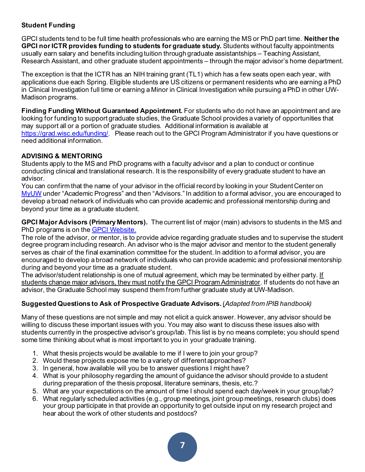## <span id="page-6-0"></span>**Student Funding**

GPCI students tend to be full time health professionals who are earning the MS or PhD part time. **Neither the GPCI nor ICTR provides funding to students for graduate study.** Students without faculty appointments usually earn salary and benefits including tuition through graduate assistantships ‒ Teaching Assistant, Research Assistant, and other graduate student appointments – through the major advisor's home department.

The exception is that the ICTR has an NIH training grant (TL1) which has a few seats open each year, with applications due each Spring. Eligible students are US citizens or permanent residents who are earning a PhD in Clinical Investigation full time or earning a Minor in Clinical Investigation while pursuing a PhD in other UW-Madison programs.

**Finding Funding Without Guaranteed Appointment.** For students who do not have an appointment and are looking for funding to support graduate studies, the Graduate School provides a variety of opportunities that may support all or a portion of graduate studies. Additional information is available at <https://grad.wisc.edu/funding/>. Please reach out to the GPCI Program Administrator if you have questions or need additional information.

## <span id="page-6-1"></span>**ADVISING & MENTORING**

Students apply to the MS and PhD programs with a faculty advisor and a plan to conduct or continue conducting clinical and translational research. It is the responsibility of every graduate student to have an advisor.

You can confirm that the name of your advisor in the official record by looking in your Student Center on [MyUW](https://it.wisc.edu/services/myuw/) under "Academic Progress" and then "Advisors." In addition to a formal advisor, you are encouraged to develop a broad network of individuals who can provide academic and professional mentorship during and beyond your time as a graduate student.

<span id="page-6-2"></span>**GPCI Major Advisors (Primary Mentors).** The current list of major (main) advisors to students in the MS and PhD programs is on the [GPCI Website.](https://ictr.wisc.edu/graduate-program-in-clinical-investigation/)

The role of the advisor, or mentor, is to provide advice regarding graduate studies and to supervise the student degree program including research. An advisor who is the major advisor and mentor to the student generally serves as chair of the final examination committee for the student. In addition to a formal advisor, you are encouraged to develop a broad network of individuals who can provide academic and professional mentorship during and beyond your time as a graduate student.

The advisor/student relationship is one of mutual agreement, which may be terminated by either party. If students change major advisors, they must notify the GPCI Program Administrator. If students do not have an advisor, the Graduate School may suspend them from further graduate study at UW-Madison.

## <span id="page-6-3"></span>**Suggested Questions to Ask of Prospective Graduate Advisors.**(*Adapted from IPIB handbook)*

Many of these questions are not simple and may not elicit a quick answer. However, any advisor should be willing to discuss these important issues with you. You may also want to discuss these issues also with students currently in the prospective advisor's group/lab. This list is by no means complete; you should spend some time thinking about what is most important to you in your graduate training.

- 1. What thesis projects would be available to me if I were to join your group?
- 2. Would these projects expose me to a variety of different approaches?
- 3. In general, how available will you be to answer questions I might have?
- 4. What is your philosophy regarding the amount of guidance the advisor should provide to a student during preparation of the thesis proposal, literature seminars, thesis, etc.?
- 5. What are your expectations on the amount of time I should spend each day/week in your group/lab?
- 6. What regularly scheduled activities (e.g., group meetings, joint group meetings, research clubs) does your group participate in that provide an opportunity to get outside input on my research project and hear about the work of other students and postdocs?

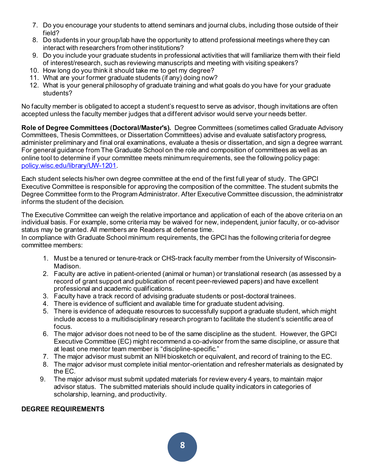- 7. Do you encourage your students to attend seminars and journal clubs, including those outside of their field?
- 8. Do students in your group/lab have the opportunity to attend professional meetings where they can interact with researchers from other institutions?
- 9. Do you include your graduate students in professional activities that will familiarize them with their field of interest/research, such as reviewing manuscripts and meeting with visiting speakers?
- 10. How long do you think it should take me to get my degree?
- 11. What are your former graduate students (if any) doing now?
- 12. What is your general philosophy of graduate training and what goals do you have for your graduate students?

No faculty member is obligated to accept a student's request to serve as advisor, though invitations are often accepted unless the faculty member judges that a different advisor would serve your needs better.

<span id="page-7-0"></span>**Role of Degree Committees (Doctoral/Master's).** Degree Committees (sometimes called Graduate Advisory Committees, Thesis Committees, or Dissertation Committees) advise and evaluate satisfactory progress, administer preliminary and final oral examinations, evaluate a thesis or dissertation, and sign a degree warrant. For general guidance from The Graduate School on the role and composition of committees as well as an online tool to determine if your committee meets minimum requirements, see the following policy page: [policy.wisc.edu/library/UW-1201](https://policy.wisc.edu/library/UW-1201).

Each student selects his/her own degree committee at the end of the first full year of study. The GPCI Executive Committee is responsible for approving the composition of the committee. The student submits the Degree Committee form to the Program Administrator. After Executive Committee discussion, the administrator informs the student of the decision.

The Executive Committee can weigh the relative importance and application of each of the above criteria on an individual basis. For example, some criteria may be waived for new, independent, junior faculty, or co-advisor status may be granted. All members are Readers at defense time.

In compliance with Graduate School minimum requirements, the GPCI has the following criteria for degree committee members:

- 1. Must be a tenured or tenure-track or CHS-track faculty member from the University of Wisconsin-Madison.
- 2. Faculty are active in patient-oriented (animal or human) or translational research (as assessed by a record of grant support and publication of recent peer-reviewed papers) and have excellent professional and academic qualifications.
- 3. Faculty have a track record of advising graduate students or post-doctoral trainees.
- 4. There is evidence of sufficient and available time for graduate student advising.
- 5. There is evidence of adequate resources to successfully support a graduate student, which might include access to a multidisciplinary research program to facilitate the student's scientific area of focus.
- 6. The major advisor does not need to be of the same discipline as the student. However, the GPCI Executive Committee (EC) might recommend a co-advisor from the same discipline, or assure that at least one mentor team member is "discipline-specific."
- 7. The major advisor must submit an NIH biosketch or equivalent, and record of training to the EC.
- 8. The major advisor must complete initial mentor-orientation and refresher materials as designated by the EC.
- 9. The major advisor must submit updated materials for review every 4 years, to maintain major advisor status. The submitted materials should include quality indicators in categories of scholarship, learning, and productivity.

#### <span id="page-7-1"></span>**DEGREE REQUIREMENTS**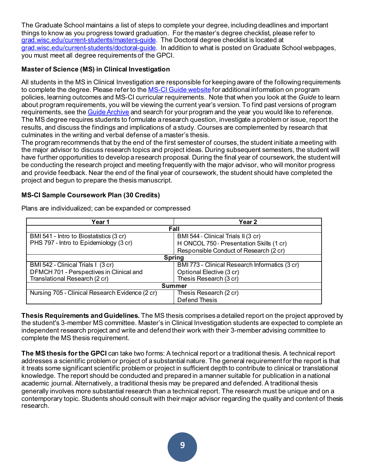The Graduate School maintains a list of steps to complete your degree, including deadlines and important things to know as you progress toward graduation. For the master's degree checklist, please refer to [grad.wisc.edu/current-students/masters-guide](https://grad.wisc.edu/current-students/masters-guide/). The Doctoral degree checklist is located at [grad.wisc.edu/current-students/doctoral-guide.](https://grad.wisc.edu/current-students/doctoral-guide/) In addition to what is posted on Graduate School webpages, you must meet all degree requirements of the GPCI.

## <span id="page-8-0"></span>**Master of Science (MS) in Clinical Investigation**

All students in the MS in Clinical Investigation are responsible for keeping aware of the following requirements to complete the degree. Please refer to th[e MS-CI Guide website](https://guide.wisc.edu/graduate/institute-clinical-translational-research/clinical-investigation-ms/#requirementstext) for additional information on program policies, learning outcomes and MS-CI curricular requirements. Note that when you look at the *Guide* to learn about program requirements, you will be viewing the current year's version. To find past versions of program requirements, see th[e Guide Archive](https://guide.wisc.edu/archive/) and search for your program and the year you would like to reference. The MS degree requires students to formulate a research question, investigate a problem or issue, report the results, and discuss the findings and implications of a study. Courses are complemented by research that culminates in the writing and verbal defense of a master's thesis.

The program recommends that by the end of the first semester of courses, the student initiate a meeting with the major advisor to discuss research topics and project ideas. During subsequent semesters, the student will have further opportunities to develop a research proposal. During the final year of coursework, the student will be conducting the research project and meeting frequently with the major advisor, who will monitor progress and provide feedback. Near the end of the final year of coursework, the student should have completed the project and begun to prepare the thesis manuscript.

## <span id="page-8-1"></span>**MS-CI Sample Coursework Plan (30 Credits)**

| Year 1                                          | Year 2                                         |  |
|-------------------------------------------------|------------------------------------------------|--|
| Fall                                            |                                                |  |
| BMI 541 - Intro to Biostatistics (3 cr)         | BMI 544 - Clinical Trials II (3 cr)            |  |
| PHS 797 - Intro to Epidemiology (3 cr)          | H ONCOL 750 - Presentation Skills (1 cr)       |  |
|                                                 | Responsible Conduct of Research (2 cr)         |  |
| <b>Spring</b>                                   |                                                |  |
| BMI 542 - Clinical Trials I (3 cr)              | BMI 773 - Clinical Research Informatics (3 cr) |  |
| DFMCH 701 - Perspectives in Clinical and        | Optional Elective (3 cr)                       |  |
| Translational Research (2 cr)                   | Thesis Research (3 cr)                         |  |
| <b>Summer</b>                                   |                                                |  |
| Nursing 705 - Clinical Research Evidence (2 cr) | Thesis Research (2 cr)                         |  |
|                                                 | Defend Thesis                                  |  |

Plans are individualized; can be expanded or compressed

<span id="page-8-2"></span>**Thesis Requirements and Guidelines.** The MS thesis comprises a detailed report on the project approved by the student's 3-member MS committee. Master's in Clinical Investigation students are expected to complete an independent research project and write and defend their work with their 3-member advising committee to complete the MS thesis requirement.

**The MS thesis for the GPCI** can take two forms: A technical report or a traditional thesis. A technical report addresses a scientific problem or project of a substantial nature. The general requirement for the report is that it treats some significant scientific problem or project in sufficient depth to contribute to clinical or translational knowledge. The report should be conducted and prepared in a manner suitable for publication in a national academic journal. Alternatively, a traditional thesis may be prepared and defended. A traditional thesis generally involves more substantial research than a technical report. The research must be unique and on a contemporary topic. Students should consult with their major advisor regarding the quality and content of thesis research.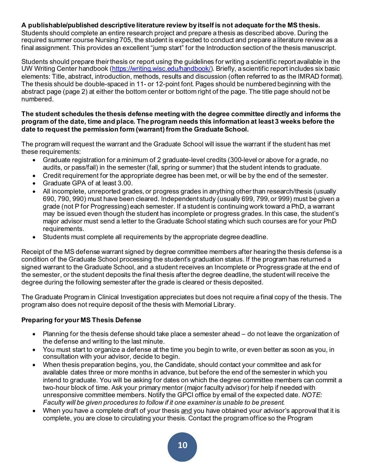## **A publishable/published descriptive literature review by itself is not adequate for the MS thesis.**

Students should complete an entire research project and prepare a thesis as described above. During the required summer course Nursing 705, the student is expected to conduct and prepare a literature review as a final assignment. This provides an excellent "jump start" for the Introduction section of the thesis manuscript.

Students should prepare their thesis or report using the guidelines for writing a scientific report available in the UW Writing Center handbook [\(https://writing.wisc.edu/handbook/](https://writing.wisc.edu/handbook/)). Briefly, a scientific report includes six basic elements: Title, abstract, introduction, methods, results and discussion (often referred to as the IMRAD format). The thesis should be double-spaced in 11- or 12-point font. Pages should be numbered beginning with the abstract page (page 2) at either the bottom center or bottom right of the page. The title page should not be numbered.

#### **The student schedules the thesis defense meeting with the degree committee directly and informs the program of the date, time and place. The program needs this information at least 3 weeks before the date to request the permission form (warrant) from the Graduate School.**

The program will request the warrant and the Graduate School will issue the warrant if the student has met these requirements:

- Graduate registration for a minimum of 2 graduate-level credits (300-level or above for a grade, no audits, or pass/fail) in the semester (fall, spring or summer) that the student intends to graduate.
- Credit requirement for the appropriate degree has been met, or will be by the end of the semester.
- Graduate GPA of at least 3.00.
- All incomplete, unreported grades, or progress grades in anything other than research/thesis (usually 690, 790, 990) must have been cleared. Independent study (usually 699, 799, or 999) must be given a grade (not P for Progressing) each semester. If a student is continuing work toward a PhD, a warrant may be issued even though the student has incomplete or progress grades. In this case, the student's major advisor must send a letter to the Graduate School stating which such courses are for your PhD requirements.
- Students must complete all requirements by the appropriate degree deadline.

Receipt of the MS defense warrant signed by degree committee members after hearing the thesis defense is a condition of the Graduate School processing the student's graduation status. If the program has returned a signed warrant to the Graduate School, and a student receives an Incomplete or Progress grade at the end of the semester, or the student deposits the final thesis after the degree deadline, the student will receive the degree during the following semester after the grade is cleared or thesis deposited.

The Graduate Program in Clinical Investigation appreciates but does not require a final copy of the thesis. The program also does not require deposit of the thesis with Memorial Library.

## **Preparing for your MS Thesis Defense**

- Planning for the thesis defense should take place a semester ahead do not leave the organization of the defense and writing to the last minute.
- You must start to organize a defense at the time you begin to write, or even better as soon as you, in consultation with your advisor, decide to begin.
- When thesis preparation begins, you, the Candidate, should contact your committee and ask for available dates three or more months in advance, but before the end of the semester in which you intend to graduate. You will be asking for dates on which the degree committee members can commit a two-hour block of time. Ask your primary mentor (major faculty advisor) for help if needed with unresponsive committee members. Notify the GPCI office by email of the expected date. *NOTE: Faculty will be given procedures to follow if it one examiner is unable to be present.*
- When you have a complete draft of your thesis and you have obtained your advisor's approval that it is complete, you are close to circulating your thesis. Contact the program office so the Program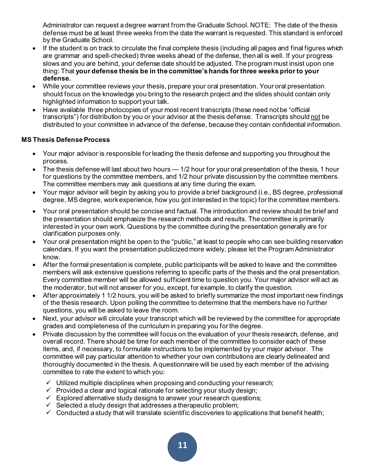Administrator can request a degree warrant from the Graduate School. NOTE: The date of the thesis defense must be at least three weeks from the date the warrant is requested. This standard is enforced by the Graduate School.

- If the student is on track to circulate the final complete thesis (including all pages and final figures which are grammar and spell-checked) three weeks ahead of the defense, then all is well. If your progress slows and you are behind, your defense date should be adjusted. The program must insist upon one thing: That **your defense thesis be in the committee's hands for three weeks prior to your defense.**
- While your committee reviews your thesis, prepare your oral presentation. Your oral presentation should focus on the knowledge you bring to the research project and the slides should contain only highlighted information to support your talk.
- Have available three photocopies of your most recent transcripts (these need not be "official transcripts") for distribution by you or your advisor at the thesis defense. Transcripts should not be distributed to your committee in advance of the defense, because they contain confidential information.

## <span id="page-10-0"></span>**MS Thesis DefenseProcess**

- Your major advisor is responsible for leading the thesis defense and supporting you throughout the process.
- The thesis defense will last about two hours  $-1/2$  hour for your oral presentation of the thesis, 1 hour for questions by the committee members, and 1/2 hour private discussion by the committee members. The committee members may ask questions at any time during the exam.
- Your major advisor will begin by asking you to provide a brief background (i.e., BS degree, professional degree, MS degree, work experience, how you got interested in the topic) for the committee members.
- Your oral presentation should be concise and factual. The introduction and review should be brief and the presentation should emphasize the research methods and results. The committee is primarily interested in your own work. Questions by the committee during the presentation generally are for clarification purposes only.
- Your oral presentation might be open to the "public," at least to people who can see building reservation calendars. If you want the presentation publicized more widely, please let the Program Administrator know.
- After the formal presentation is complete, public participants will be asked to leave and the committee members will ask extensive questions referring to specific parts of the thesis and the oral presentation. Every committee member will be allowed sufficient time to question you. Your major advisor will act as the moderator, but will not answer for you, except, for example, to clarify the question.
- After approximately 1 1/2 hours, you will be asked to briefly summarize the most important new findings of the thesis research. Upon polling the committee to determine that the members have no further questions, you will be asked to leave the room.
- Next, your advisor will circulate your transcript which will be reviewed by the committee for appropriate grades and completeness of the curriculum in preparing you for the degree.
- Private discussion by the committee will focus on the evaluation of your thesis research, defense, and overall record. There should be time for each member of the committee to consider each of these items, and, if necessary, to formulate instructions to be implemented by your major advisor. The committee will pay particular attention to whether your own contributions are clearly delineated and thoroughly documented in the thesis. A questionnaire will be used by each member of the advising committee to rate the extent to which you:
	- $\checkmark$  Utilized multiple disciplines when proposing and conducting your research;
	- $\checkmark$  Provided a clear and logical rationale for selecting your study design;
	- $\checkmark$  Explored alternative study designs to answer your research questions;
	- $\checkmark$  Selected a study design that addresses a therapeutic problem;
	- $\checkmark$  Conducted a study that will translate scientific discoveries to applications that benefit health;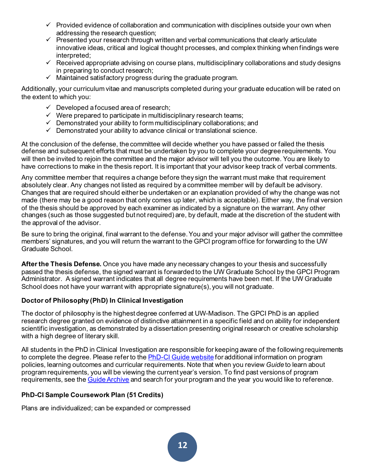- $\checkmark$  Provided evidence of collaboration and communication with disciplines outside your own when addressing the research question;
- $\checkmark$  Presented your research through written and verbal communications that clearly articulate innovative ideas, critical and logical thought processes, and complex thinking when findings were interpreted;
- $\checkmark$  Received appropriate advising on course plans, multidisciplinary collaborations and study designs in preparing to conduct research;
- $\checkmark$  Maintained satisfactory progress during the graduate program.

Additionally, your curriculum vitae and manuscripts completed during your graduate education will be rated on the extent to which you:

- $\checkmark$  Developed a focused area of research;
- $\checkmark$  Were prepared to participate in multidisciplinary research teams;
- $\checkmark$  Demonstrated your ability to form multidisciplinary collaborations; and
- $\checkmark$  Demonstrated your ability to advance clinical or translational science.

At the conclusion of the defense, the committee will decide whether you have passed or failed the thesis defense and subsequent efforts that must be undertaken by you to complete your degree requirements. You will then be invited to rejoin the committee and the major advisor will tell you the outcome. You are likely to have corrections to make in the thesis report. It is important that your advisor keep track of verbal comments.

Any committee member that requires a change before they sign the warrant must make that requirement absolutely clear. Any changes not listed as required by a committee member will by default be advisory. Changes that are required should either be undertaken or an explanation provided of why the change was not made (there may be a good reason that only comes up later, which is acceptable). Either way, the final version of the thesis should be approved by each examiner as indicated by a signature on the warrant. Any other changes (such as those suggested but not required) are, by default, made at the discretion of the student with the approval of the advisor.

Be sure to bring the original, final warrant to the defense. You and your major advisor will gather the committee members' signatures, and you will return the warrant to the GPCI program office for forwarding to the UW Graduate School.

**After the Thesis Defense.** Once you have made any necessary changes to your thesis and successfully passed the thesis defense, the signed warrant is forwarded to the UW Graduate School by the GPCI Program Administrator. A signed warrant indicates that all degree requirements have been met. If the UW Graduate School does not have your warrant with appropriate signature(s), you will not graduate.

## <span id="page-11-0"></span>**Doctor of Philosophy (PhD) In Clinical Investigation**

The doctor of philosophy is the highest degree conferred at UW-Madison. The GPCI PhD is an applied research degree granted on evidence of distinctive attainment in a specific field and on ability for independent scientific investigation, as demonstrated by a dissertation presenting original research or creative scholarship with a high degree of literary skill.

All students in the PhD in Clinical Investigation are responsible for keeping aware of the following requirements to complete the degree. Please refer to th[e PhD-CI Guide website](https://guide.wisc.edu/graduate/institute-clinical-translational-research/clinical-investigation-phd/#requirementstext) for additional information on program policies, learning outcomes and curricular requirements. Note that when you review *Guide* to learn about program requirements, you will be viewing the current year's version. To find past versions of program requirements, see th[e Guide Archive](https://guide.wisc.edu/archive/) and search for your program and the year you would like to reference.

## <span id="page-11-1"></span>**PhD-CI Sample Coursework Plan (51 Credits)**

Plans are individualized; can be expanded or compressed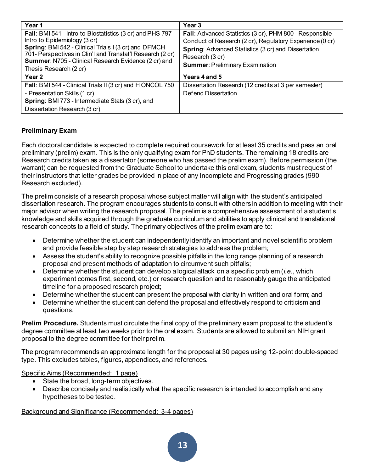| Year 1                                                     | Year <sub>3</sub>                                          |
|------------------------------------------------------------|------------------------------------------------------------|
| Fall: BMI 541 - Intro to Biostatistics (3 cr) and PHS 797  | Fall: Advanced Statistics (3 cr), PHM 800 - Responsible    |
| Intro to Epidemiology (3 cr)                               | Conduct of Research (2 cr), Regulatory Experience (0 cr)   |
| Spring: BMI 542 - Clinical Trials I (3 cr) and DFMCH       | <b>Spring: Advanced Statistics (3 cr) and Dissertation</b> |
| 701- Perspectives in Clin'l and Translat'l Research (2 cr) | Research (3 cr)                                            |
| Summer: N705 - Clinical Research Evidence (2 cr) and       | <b>Summer: Preliminary Examination</b>                     |
| Thesis Research (2 cr)                                     |                                                            |
| Year 2                                                     | Years 4 and 5                                              |
| Fall: BMI 544 - Clinical Trials II (3 cr) and H ONCOL 750  | Dissertation Research (12 credits at 3 per semester)       |
| - Presentation Skills (1 cr)                               | <b>Defend Dissertation</b>                                 |
| Spring: BMI 773 - Intermediate Stats (3 cr), and           |                                                            |
| Dissertation Research (3 cr)                               |                                                            |

## <span id="page-12-0"></span>**Preliminary Exam**

Each doctoral candidate is expected to complete required coursework for at least 35 credits and pass an oral preliminary (prelim) exam. This is the only qualifying exam for PhD students. The remaining 18 credits are Research credits taken as a dissertator (someone who has passed the prelim exam). Before permission (the warrant) can be requested from the Graduate School to undertake this oral exam, students must request of their instructors that letter grades be provided in place of any Incomplete and Progressing grades (990 Research excluded).

The prelim consists of a research proposal whose subject matter will align with the student's anticipated dissertation research. The program encourages students to consult with others in addition to meeting with their major advisor when writing the research proposal. The prelim is a comprehensive assessment of a student's knowledge and skills acquired through the graduate curriculum and abilities to apply clinical and translational research concepts to a field of study. The primary objectives of the prelim exam are to:

- Determine whether the student can independently identify an important and novel scientific problem and provide feasible step by step research strategies to address the problem;
- Assess the student's ability to recognize possible pitfalls in the long range planning of a research proposal and present methods of adaptation to circumvent such pitfalls;
- Determine whether the student can develop a logical attack on a specific problem (*i.e.*, which experiment comes first, second, etc.) or research question and to reasonably gauge the anticipated timeline for a proposed research project;
- Determine whether the student can present the proposal with clarity in written and oral form; and
- Determine whether the student can defend the proposal and effectively respond to criticism and questions.

<span id="page-12-1"></span>**Prelim Procedure.** Students must circulate the final copy of the preliminary exam proposal to the student's degree committee at least two weeks prior to the oral exam. Students are allowed to submit an NIH grant proposal to the degree committee for their prelim.

The program recommends an approximate length for the proposal at 30 pages using 12-point double-spaced type. This excludes tables, figures, appendices, and references.

Specific Aims (Recommended: 1 page)

- State the broad, long-term objectives.
- Describe concisely and realistically what the specific research is intended to accomplish and any hypotheses to be tested.

## Background and Significance (Recommended: 3-4 pages)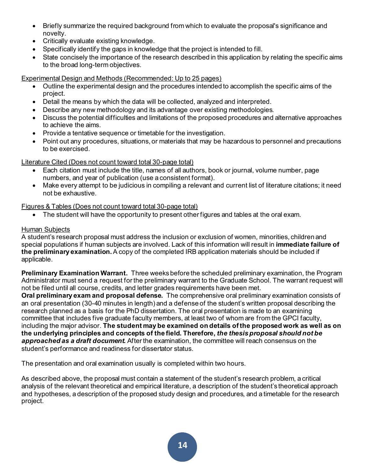- Briefly summarize the required background from which to evaluate the proposal's significance and novelty.
- Critically evaluate existing knowledge.
- Specifically identify the gaps in knowledge that the project is intended to fill.
- State concisely the importance of the research described in this application by relating the specific aims to the broad long-term objectives.

## Experimental Design and Methods (Recommended: Up to 25 pages)

- Outline the experimental design and the procedures intended to accomplish the specific aims of the project.
- Detail the means by which the data will be collected, analyzed and interpreted.
- Describe any new methodology and its advantage over existing methodologies.
- Discuss the potential difficulties and limitations of the proposed procedures and alternative approaches to achieve the aims.
- Provide a tentative sequence or timetable for the investigation.
- Point out any procedures, situations, or materials that may be hazardous to personnel and precautions to be exercised.

## Literature Cited (Does not count toward total 30-page total)

- Each citation must include the title, names of all authors, book or journal, volume number, page numbers, and year of publication (use a consistent format).
- Make every attempt to be judicious in compiling a relevant and current list of literature citations; it need not be exhaustive.

## Figures & Tables (Does not count toward total 30-page total)

The student will have the opportunity to present other figures and tables at the oral exam.

#### Human Subjects

A student's research proposal must address the inclusion or exclusion of women, minorities, children and special populations if human subjects are involved. Lack of this information will result in **immediate failure of the preliminary examination.**A copy of the completed IRB application materials should be included if applicable.

**Preliminary Examination Warrant.** Three weeks before the scheduled preliminary examination, the Program Administrator must send a request for the preliminary warrant to the Graduate School. The warrant request will not be filed until all course, credits, and letter grades requirements have been met.

**Oral preliminary exam and proposal defense.** The comprehensive oral preliminary examination consists of an oral presentation (30-40 minutes in length) and a defense of the student's written proposal describing the research planned as a basis for the PhD dissertation. The oral presentation is made to an examining committee that includes five graduate faculty members, at least two of whom are from the GPCI faculty, including the major advisor. **The student may be examined on details of the proposed work as well as on the underlying principles and concepts of the field. Therefore,** *the thesis proposal should not be approached as a draft document.* After the examination, the committee will reach consensus on the student's performance and readiness for dissertator status.

The presentation and oral examination usually is completed within two hours.

As described above, the proposal must contain a statement of the student's research problem, a critical analysis of the relevant theoretical and empirical literature, a description of the student's theoretical approach and hypotheses, a description of the proposed study design and procedures, and a timetable for the research project.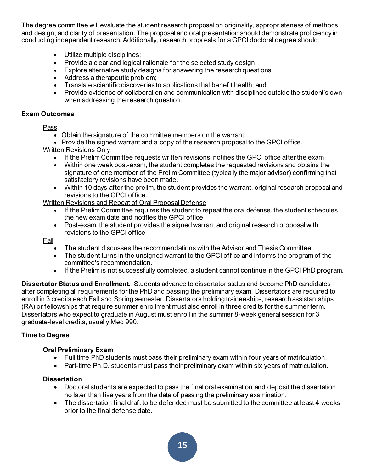The degree committee will evaluate the student research proposal on originality, appropriateness of methods and design, and clarity of presentation. The proposal and oral presentation should demonstrate proficiency in conducting independent research. Additionally, research proposals for a GPCI doctoral degree should:

- Utilize multiple disciplines;
- Provide a clear and logical rationale for the selected study design;
- Explore alternative study designs for answering the research questions;
- Address a therapeutic problem;
- Translate scientific discoveries to applications that benefit health; and
- Provide evidence of collaboration and communication with disciplines outside the student's own when addressing the research question.

#### **Exam Outcomes**

Pass

- Obtain the signature of the committee members on the warrant.
- Provide the signed warrant and a copy of the research proposal to the GPCI office. Written Revisions Only
- - If the Prelim Committee requests written revisions, notifies the GPCI office after the exam
	- Within one week post-exam, the student completes the requested revisions and obtains the signature of one member of the Prelim Committee (typically the major advisor) confirming that satisfactory revisions have been made.
	- Within 10 days after the prelim, the student provides the warrant, original research proposal and revisions to the GPCI office.

#### Written Revisions and Repeat of Oral Proposal Defense

- If the Prelim Committee requires the student to repeat the oral defense, the student schedules the new exam date and notifies the GPCI office
- Post-exam, the student provides the signed warrant and original research proposal with revisions to the GPCI office

Fail

- The student discusses the recommendations with the Advisor and Thesis Committee.
- The student turns in the unsigned warrant to the GPCI office and informs the program of the committee's recommendation.
- If the Prelim is not successfully completed, a student cannot continue in the GPCI PhD program.

**Dissertator Status and Enrollment.** Students advance to dissertator status and become PhD candidates after completing all requirements for the PhD and passing the preliminary exam. Dissertators are required to enroll in 3 credits each Fall and Spring semester. Dissertators holding traineeships, research assistantships (RA) or fellowships that require summer enrollment must also enroll in three credits for the summer term. Dissertators who expect to graduate in August must enroll in the summer 8-week general session for 3 graduate-level credits, usually Med 990.

#### <span id="page-14-0"></span>**Time to Degree**

#### **Oral Preliminary Exam**

- Full time PhD students must pass their preliminary exam within four years of matriculation.
- Part-time Ph.D. students must pass their preliminary exam within six years of matriculation.

#### **Dissertation**

- Doctoral students are expected to pass the final oral examination and deposit the dissertation no later than five years from the date of passing the preliminary examination.
- The dissertation final draft to be defended must be submitted to the committee at least 4 weeks prior to the final defense date.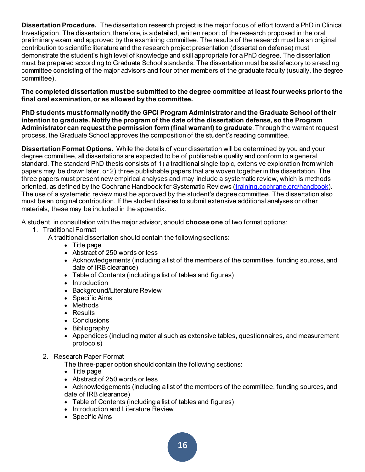<span id="page-15-0"></span>**Dissertation Procedure.** The dissertation research project is the major focus of effort toward a PhD in Clinical Investigation. The dissertation, therefore, is a detailed, written report of the research proposed in the oral preliminary exam and approved by the examining committee. The results of the research must be an original contribution to scientific literature and the research project presentation (dissertation defense) must demonstrate the student's high level of knowledge and skill appropriate for a PhD degree. The dissertation must be prepared according to Graduate School standards. The dissertation must be satisfactory to a reading committee consisting of the major advisors and four other members of the graduate faculty (usually, the degree committee).

**The completed dissertation must be submitted to the degree committee at least four weeks prior to the final oral examination, or as allowed by the committee.**

**PhD students must formally notify the GPCI Program Administrator and the Graduate School of their intention to graduate. Notify the program of the date of the dissertation defense, so the Program Administrator can request the permission form (final warrant) to graduate**. Through the warrant request process, the Graduate School approves the composition of the student's reading committee.

<span id="page-15-1"></span>**Dissertation Format Options.** While the details of your dissertation will be determined by you and your degree committee, all dissertations are expected to be of publishable quality and conform to a general standard. The standard PhD thesis consists of 1) a traditional single topic, extensive exploration from which papers may be drawn later, or 2) three publishable papers that are woven together in the dissertation. The three papers must present new empirical analyses and may include a systematic review, which is methods oriented, as defined by the Cochrane Handbook for Systematic Reviews [\(training.cochrane.org/handbook](https://training.cochrane.org/handbook)). The use of a systematic review must be approved by the student's degree committee. The dissertation also must be an original contribution. If the student desires to submit extensive additional analyses or other materials, these may be included in the appendix.

A student, in consultation with the major advisor, should **choose one** of two format options:

1. Traditional Format

A traditional dissertation should contain the following sections:

- Title page
- Abstract of 250 words or less
- Acknowledgements (including a list of the members of the committee, funding sources, and date of IRB clearance)
- Table of Contents (including a list of tables and figures)
- Introduction
- Background/Literature Review
- Specific Aims
- Methods
- Results
- Conclusions
- Bibliography
- Appendices (including material such as extensive tables, questionnaires, and measurement protocols)
- 2. Research Paper Format

The three-paper option should contain the following sections:

- Title page
- Abstract of 250 words or less
- Acknowledgements (including a list of the members of the committee, funding sources, and date of IRB clearance)
- Table of Contents (including a list of tables and figures)
- Introduction and Literature Review
- Specific Aims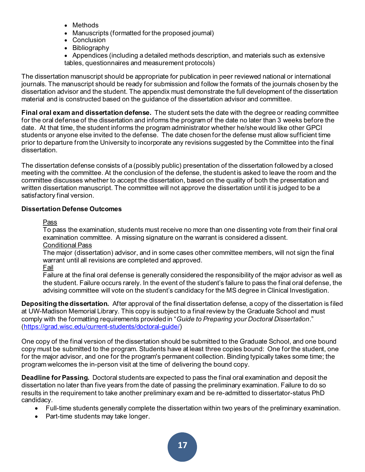- Methods
- Manuscripts (formatted for the proposed journal)
- Conclusion
- Bibliography
- Appendices (including a detailed methods description, and materials such as extensive tables, questionnaires and measurement protocols)

The dissertation manuscript should be appropriate for publication in peer reviewed national or international journals. The manuscript should be ready for submission and follow the formats of the journals chosen by the dissertation advisor and the student. The appendix must demonstrate the full development of the dissertation material and is constructed based on the guidance of the dissertation advisor and committee.

<span id="page-16-0"></span>**Final oral exam and dissertation defense.** The student sets the date with the degree or reading committee for the oral defense of the dissertation and informs the program of the date no later than 3 weeks before the date. At that time, the student informs the program administrator whether he/she would like other GPCI students or anyone else invited to the defense. The date chosen for the defense must allow sufficient time prior to departure from the University to incorporate any revisions suggested by the Committee into the final dissertation.

The dissertation defense consists of a (possibly public) presentation of the dissertation followed by a closed meeting with the committee. At the conclusion of the defense, the student is asked to leave the room and the committee discusses whether to accept the dissertation, based on the quality of both the presentation and written dissertation manuscript. The committee will not approve the dissertation until it is judged to be a satisfactory final version.

## **Dissertation Defense Outcomes**

Pass

To pass the examination, students must receive no more than one dissenting vote from their final oral examination committee. A missing signature on the warrant is considered a dissent. Conditional Pass

The major (dissertation) advisor, and in some cases other committee members, will not sign the final warrant until all revisions are completed and approved.

<u>Fail</u>

Failure at the final oral defense is generally considered the responsibility of the major advisor as well as the student. Failure occurs rarely. In the event of the student's failure to pass the final oral defense, the advising committee will vote on the student's candidacy for the MS degree in Clinical Investigation.

**Depositing the dissertation.** After approval of the final dissertation defense, a copy of the dissertation is filed at UW-Madison Memorial Library. This copy is subject to a final review by the Graduate School and must comply with the formatting requirements provided in "*Guide to Preparing your Doctoral Dissertation*." [\(https://grad.wisc.edu/current-students/doctoral-guide/](https://grad.wisc.edu/current-students/doctoral-guide/))

One copy of the final version of the dissertation should be submitted to the Graduate School, and one bound copy must be submitted to the program. Students have at least three copies bound: One for the student, one for the major advisor, and one for the program's permanent collection. Binding typically takes some time; the program welcomes the in-person visit at the time of delivering the bound copy.

**Deadline for Passing.** Doctoral students are expected to pass the final oral examination and deposit the dissertation no later than five years from the date of passing the preliminary examination. Failure to do so results in the requirement to take another preliminary exam and be re-admitted to dissertator-status PhD candidacy.

- Full-time students generally complete the dissertation within two years of the preliminary examination.
- Part-time students may take longer.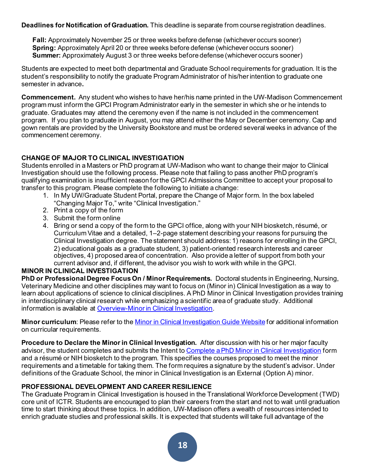**Deadlines for Notification of Graduation.** This deadline is separate from course registration deadlines.

**Fall:** Approximately November 25 or three weeks before defense (whichever occurs sooner) **Spring:** Approximately April 20 or three weeks before defense (whichever occurs sooner) **Summer:** Approximately August 3 or three weeks before defense (whichever occurs sooner)

Students are expected to meet both departmental and Graduate School requirements for graduation. It is the student's responsibility to notify the graduate Program Administrator of his/her intention to graduate one semester in advance**.**

**Commencement.** Any student who wishes to have her/his name printed in the UW-Madison Commencement program must inform the GPCI Program Administrator early in the semester in which she or he intends to graduate. Graduates may attend the ceremony even if the name is not included in the commencement program. If you plan to graduate in August, you may attend either the May or December ceremony. Cap and gown rentals are provided by the University Bookstore and must be ordered several weeks in advance of the commencement ceremony.

## <span id="page-17-0"></span>**CHANGE OF MAJOR TO CLINICAL INVESTIGATION**

Students enrolled in a Masters or PhD program at UW-Madison who want to change their major to Clinical Investigation should use the following process. Please note that failing to pass another PhD program's qualifying examination is insufficient reason for the GPCI Admissions Committee to accept your proposal to transfer to this program. Please complete the following to initiate a change:

- 1. In My UW/Graduate Student Portal, prepare the Change of Major form. In the box labeled "Changing Major To," write "Clinical Investigation."
- 2. Print a copy of the form
- 3. Submit the form online
- 4. Bring or send a copy of the form to the GPCI office, along with your NIH biosketch, résumé, or Curriculum Vitae and a detailed, 1–2-page statement describing your reasons for pursuing the Clinical Investigation degree. The statement should address: 1) reasons for enrolling in the GPCI, 2) educational goals as a graduate student, 3) patient-oriented research interests and career objectives, 4) proposed area of concentration. Also provide a letter of support from both your current advisor and, if different, the advisor you wish to work with while in the GPCI.

#### <span id="page-17-1"></span>**MINOR IN CLINICAL INVESTIGATION**

<span id="page-17-2"></span>**PhD or Professional Degree Focus On / Minor Requirements.** Doctoral students in Engineering, Nursing, Veterinary Medicine and other disciplines may want to focus on (Minor in) Clinical Investigation as a way to learn about applications of science to clinical disciplines. A PhD Minor in Clinical Investigation provides training in interdisciplinary clinical research while emphasizing a scientific area of graduate study. Additional information is available at [Overview-Minor in Clinical Investigation.](https://guide.wisc.edu/graduate/institute-clinical-translational-research/clinical-investigation-doctoral-minor/#text)

<span id="page-17-3"></span>**Minor curriculum**: Please refer to the [Minor in Clinical Investigation Guide Website](https://guide.wisc.edu/graduate/institute-clinical-translational-research/clinical-investigation-doctoral-minor/#requirementstext) for additional information on curricular requirements.

<span id="page-17-4"></span>**Procedure to Declare the Minor in Clinical Investigation.** After discussion with his or her major faculty advisor, the student completes and submits the Intent t[o Complete a PhD Minor in Clinical Investigation](https://ictr.wisc.edu/documents/gpci-minor-declaration-form/) form and a résumé or NIH biosketch to the program. This specifies the courses proposed to meet the minor requirements and a timetable for taking them. The form requires a signature by the student's advisor. Under definitions of the Graduate School, the minor in Clinical Investigation is an External (Option A) minor.

## <span id="page-17-5"></span>**PROFESSIONAL DEVELOPMENT AND CAREER RESILIENCE**

The Graduate Program in Clinical Investigation is housed in the Translational Workforce Development (TWD) core unit of ICTR. Students are encouraged to plan their careers from the start and not to wait until graduation time to start thinking about these topics. In addition, UW-Madison offers a wealth of resources intended to enrich graduate studies and professional skills. It is expected that students will take full advantage of the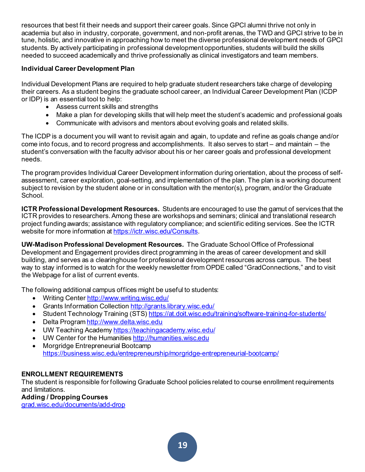resources that best fit their needs and support their career goals. Since GPCI alumni thrive not only in academia but also in industry, corporate, government, and non-profit arenas, the TWD and GPCI strive to be in tune, holistic, and innovative in approaching how to meet the diverse professional development needs of GPCI students. By actively participating in professional development opportunities, students will build the skills needed to succeed academically and thrive professionally as clinical investigators and team members.

## <span id="page-18-0"></span>**Individual Career Development Plan**

Individual Development Plans are required to help graduate student researchers take charge of developing their careers. As a student begins the graduate school career, an Individual Career Development Plan (ICDP or IDP) is an essential tool to help:

- Assess current skills and strengths
- Make a plan for developing skills that will help meet the student's academic and professional goals
- Communicate with advisors and mentors about evolving goals and related skills.

The ICDP is a document you will want to revisit again and again, to update and refine as goals change and/or come into focus, and to record progress and accomplishments. It also serves to start – and maintain – the student's conversation with the faculty advisor about his or her career goals and professional development needs.

The program provides Individual Career Development information during orientation, about the process of selfassessment, career exploration, goal-setting, and implementation of the plan. The plan is a working document subject to revision by the student alone or in consultation with the mentor(s), program, and/or the Graduate School.

<span id="page-18-1"></span>**ICTR Professional Development Resources.** Students are encouraged to use the gamut of services that the ICTR provides to researchers. Among these are workshops and seminars; clinical and translational research project funding awards; assistance with regulatory compliance; and scientific editing services. See the ICTR website for more information at<https://ictr.wisc.edu/Consults>.

<span id="page-18-2"></span>**UW-Madison Professional Development Resources.** The Graduate School Office of Professional Development and Engagement provides direct programming in the areas of career development and skill building, and serves as a clearinghouse for professional development resources across campus. The best way to stay informed is to watch for the weekly newsletter from OPDE called "GradConnections," and to visit the Webpage for a list of current events.

The following additional campus offices might be useful to students:

- Writing Cente[r http://www.writing.wisc.edu/](http://www.writing.wisc.edu/)
- Grants Information Collectio[n http://grants.library.wisc.edu/](http://grants.library.wisc.edu/)
- Student Technology Training (STS[\) https://at.doit.wisc.edu/training/software-training-for-students/](https://at.doit.wisc.edu/training/software-training-for-students/)
- Delta Program [http://www.delta.wisc.edu](http://www.delta.wisc.edu/)
- UW Teaching Academy<https://teachingacademy.wisc.edu/>
- UW Center for the Humanitie[s http://humanities.wisc.edu](http://humanities.wisc.edu/)
- Morgridge Entrepreneurial Bootcamp <https://business.wisc.edu/entrepreneurship/morgridge-entrepreneurial-bootcamp/>

## <span id="page-18-3"></span>**ENROLLMENT REQUIREMENTS**

The student is responsible for following Graduate School policies related to course enrollment requirements and limitations.

## <span id="page-18-4"></span>**Adding / Dropping Courses**

[grad.wisc.edu/documents/add-drop](https://grad.wisc.edu/documents/add-drop/)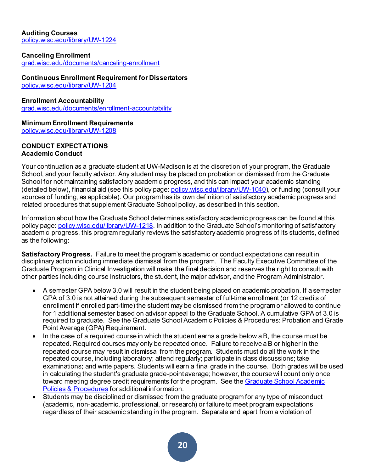<span id="page-19-0"></span>**Auditing Courses** [policy.wisc.edu/library/UW-1224](https://policy.wisc.edu/library/UW-1224)

#### <span id="page-19-1"></span>**Canceling Enrollment**

[grad.wisc.edu/documents/canceling-enrollment](https://grad.wisc.edu/documents/canceling-enrollment/)

#### <span id="page-19-2"></span>**Continuous Enrollment Requirement for Dissertators**

[policy.wisc.edu/library/UW-1204](https://policy.wisc.edu/library/UW-1204)

#### <span id="page-19-3"></span>**Enrollment Accountability**

[grad.wisc.edu/documents/enrollment-accountability](https://grad.wisc.edu/documents/enrollment-accountability/)

## <span id="page-19-4"></span>**Minimum Enrollment Requirements**

[policy.wisc.edu/library/UW-1208](https://policy.wisc.edu/library/UW-1208)

#### <span id="page-19-6"></span><span id="page-19-5"></span>**CONDUCT EXPECTATIONS Academic Conduct**

Your continuation as a graduate student at UW-Madison is at the discretion of your program, the Graduate School, and your faculty advisor. Any student may be placed on probation or dismissed from the Graduate School for not maintaining satisfactory academic progress, and this can impact your academic standing (detailed below), financial aid (see this policy page: [policy.wisc.edu/library/UW-1040](https://policy.wisc.edu/library/UW-1040)), or funding (consult your sources of funding, as applicable). Our program has its own definition of satisfactory academic progress and related procedures that supplement Graduate School policy, as described in this section.

Information about how the Graduate School determines satisfactory academic progress can be found at this policy page: [policy.wisc.edu/library/UW-1218.](https://policy.wisc.edu/library/UW-1218) In addition to the Graduate School's monitoring of satisfactory academic progress, this program regularly reviews the satisfactory academic progress of its students, defined as the following:

<span id="page-19-7"></span>**Satisfactory Progress.** Failure to meet the program's academic or conduct expectations can result in disciplinary action including immediate dismissal from the program. The Faculty Executive Committee of the Graduate Program in Clinical Investigation will make the final decision and reserves the right to consult with other parties including course instructors, the student, the major advisor, and the Program Administrator.

- A semester GPA below 3.0 will result in the student being placed on academic probation. If a semester GPA of 3.0 is not attained during the subsequent semester of full-time enrollment (or 12 credits of enrollment if enrolled part-time) the student may be dismissed from the program or allowed to continue for 1 additional semester based on advisor appeal to the Graduate School. A cumulative GPA of 3.0 is required to graduate. See the Graduate School Academic Policies & Procedures: Probation and Grade Point Average (GPA) Requirement.
- In the case of a required course in which the student earns a grade below a B, the course must be repeated. Required courses may only be repeated once. Failure to receive a B or higher in the repeated course may result in dismissal from the program. Students must do all the work in the repeated course, including laboratory; attend regularly; participate in class discussions; take examinations; and write papers. Students will earn a final grade in the course. Both grades will be used in calculating the student's graduate grade-point average; however, the course will count only once toward meeting degree credit requirements for the program. See the Graduate School Academic [Policies & Procedures](https://grad.wisc.edu/acadpolicy/#repeatingcourses) for additional information.
- Students may be disciplined or dismissed from the graduate program for any type of misconduct (academic, non-academic, professional, or research) or failure to meet program expectations regardless of their academic standing in the program. Separate and apart from a violation of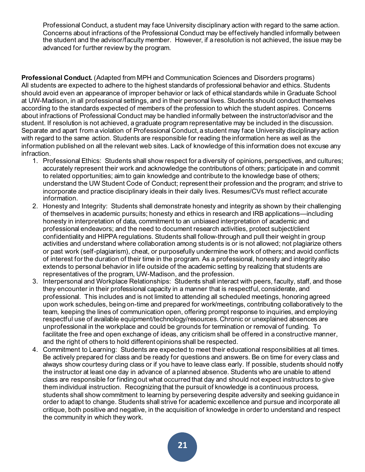Professional Conduct, a student may face University disciplinary action with regard to the same action. Concerns about infractions of the Professional Conduct may be effectively handled informally between the student and the advisor/faculty member. However, if a resolution is not achieved, the issue may be advanced for further review by the program.

<span id="page-20-0"></span>**Professional Conduct.** (Adapted from MPH and Communication Sciences and Disorders programs) All students are expected to adhere to the highest standards of professional behavior and ethics. Students should avoid even an appearance of improper behavior or lack of ethical standards while in Graduate School at UW-Madison, in all professional settings, and in their personal lives. Students should conduct themselves according to the standards expected of members of the profession to which the student aspires. Concerns about infractions of Professional Conduct may be handled informally between the instructor/advisor and the student. If resolution is not achieved, a graduate program representative may be included in the discussion. Separate and apart from a violation of Professional Conduct, a student may face University disciplinary action with regard to the same action. Students are responsible for reading the information here as well as the information published on all the relevant web sites. Lack of knowledge of this information does not excuse any infraction.

- 1. Professional Ethics: Students shall show respect for a diversity of opinions, perspectives, and cultures; accurately represent their work and acknowledge the contributions of others; participate in and commit to related opportunities; aim to gain knowledge and contribute to the knowledge base of others; understand the UW Student Code of Conduct; represent their profession and the program; and strive to incorporate and practice disciplinary ideals in their daily lives. Resumes/CVs must reflect accurate information.
- 2. Honesty and Integrity: Students shall demonstrate honesty and integrity as shown by their challenging of themselves in academic pursuits; honesty and ethics in research and IRB applications—including honesty in interpretation of data, commitment to an unbiased interpretation of academic and professional endeavors; and the need to document research activities, protect subject/client confidentiality and HIPPA regulations. Students shall follow-through and pull their weight in group activities and understand where collaboration among students is or is not allowed; not plagiarize others or past work (self-plagiarism), cheat, or purposefully undermine the work of others; and avoid conflicts of interest for the duration of their time in the program. As a professional, honesty and integrity also extends to personal behavior in life outside of the academic setting by realizing that students are representatives of the program, UW-Madison, and the profession.
- 3. Interpersonal and Workplace Relationships: Students shall interact with peers, faculty, staff, and those they encounter in their professional capacity in a manner that is respectful, considerate, and professional. This includes and is not limited to attending all scheduled meetings, honoring agreed upon work schedules, being on-time and prepared for work/meetings, contributing collaboratively to the team, keeping the lines of communication open, offering prompt response to inquiries, and employing respectful use of available equipment/technology/resources. Chronic or unexplained absences are unprofessional in the workplace and could be grounds for termination or removal of funding. To facilitate the free and open exchange of ideas, any criticism shall be offered in a constructive manner, and the right of others to hold different opinions shall be respected.
- 4. Commitment to Learning: Students are expected to meet their educational responsibilities at all times. Be actively prepared for class and be ready for questions and answers. Be on time for every class and always show courtesy during class or if you have to leave class early. If possible, students should notify the instructor at least one day in advance of a planned absence. Students who are unable to attend class are responsible for finding out what occurred that day and should not expect instructors to give them individual instruction. Recognizing that the pursuit of knowledge is a continuous process, students shall show commitment to learning by persevering despite adversity and seeking guidance in order to adapt to change. Students shall strive for academic excellence and pursue and incorporate all critique, both positive and negative, in the acquisition of knowledge in order to understand and respect the community in which they work.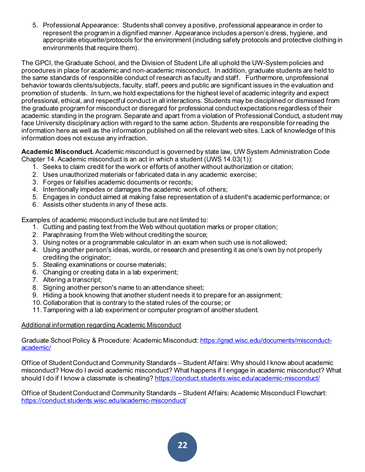5. Professional Appearance: Students shall convey a positive, professional appearance in order to represent the program in a dignified manner. Appearance includes a person's dress, hygiene, and appropriate etiquette/protocols for the environment (including safety protocols and protective clothing in environments that require them).

The GPCI, the Graduate School, and the Division of Student Life all uphold the UW-System policies and procedures in place for academic and non-academic misconduct. In addition, graduate students are held to the same standards of responsible conduct of research as faculty and staff. Furthermore, unprofessional behavior towards clients/subjects, faculty, staff, peers and public are significant issues in the evaluation and promotion of students. In turn, we hold expectations for the highest level of academic integrity and expect professional, ethical, and respectful conduct in all interactions. Students may be disciplined or dismissed from the graduate program for misconduct or disregard for professional conduct expectations regardless of their academic standing in the program. Separate and apart from a violation of Professional Conduct, a student may face University disciplinary action with regard to the same action. Students are responsible for reading the information here as well as the information published on all the relevant web sites. Lack of knowledge of this information does not excuse any infraction.

<span id="page-21-0"></span>**Academic Misconduct.** Academic misconduct is governed by state law, UW System Administration Code Chapter 14. Academic misconduct is an act in which a student (UWS 14.03(1)):

- 1. Seeks to claim credit for the work or efforts of another without authorization or citation;
- 2. Uses unauthorized materials or fabricated data in any academic exercise;
- 3. Forges or falsifies academic documents or records;
- 4. Intentionally impedes or damages the academic work of others;
- 5. Engages in conduct aimed at making false representation of a student's academic performance; or
- 6. Assists other students in any of these acts.

Examples of academic misconduct include but are not limited to:

- 1. Cutting and pasting text from the Web without quotation marks or proper citation;
- 2. Paraphrasing from the Web without crediting the source;
- 3. Using notes or a programmable calculator in an exam when such use is not allowed;
- 4. Using another person's ideas, words, or research and presenting it as one's own by not properly crediting the originator:
- 5. Stealing examinations or course materials;
- 6. Changing or creating data in a lab experiment;
- 7. Altering a transcript;
- 8. Signing another person's name to an attendance sheet;
- 9. Hiding a book knowing that another student needs it to prepare for an assignment;
- 10. Collaboration that is contrary to the stated rules of the course; or
- 11.Tampering with a lab experiment or computer program of another student.

#### Additional information regarding Academic Misconduct

Graduate School Policy & Procedure: Academic Misconduct[: https://grad.wisc.edu/documents/misconduct](https://grad.wisc.edu/documents/misconduct-academic/)[academic/](https://grad.wisc.edu/documents/misconduct-academic/)

Office of Student Conduct and Community Standards – Student Affairs: Why should I know about academic misconduct? How do I avoid academic misconduct? What happens if I engage in academic misconduct? What should I do if I know a classmate is cheating?<https://conduct.students.wisc.edu/academic-misconduct/>

Office of Student Conduct and Community Standards – Student Affairs: Academic Misconduct Flowchart: <https://conduct.students.wisc.edu/academic-misconduct/>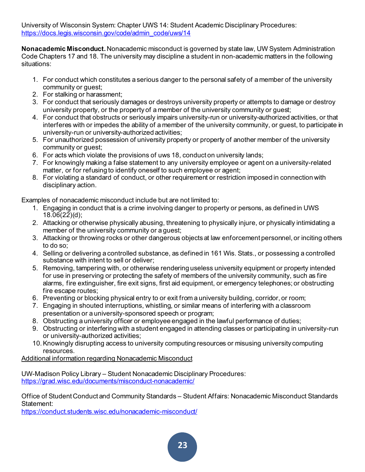University of Wisconsin System: Chapter UWS 14: Student Academic Disciplinary Procedures: [https://docs.legis.wisconsin.gov/code/admin\\_code/uws/14](https://docs.legis.wisconsin.gov/code/admin_code/uws/14)

<span id="page-22-0"></span>**Nonacademic Misconduct.** Nonacademic misconduct is governed by state law, UW System Administration Code Chapters 17 and 18. The university may discipline a student in non-academic matters in the following situations:

- 1. For conduct which constitutes a serious danger to the personal safety of a member of the university community or guest;
- 2. For stalking or harassment;
- 3. For conduct that seriously damages or destroys university property or attempts to damage or destroy university property, or the property of a member of the university community or guest;
- 4. For conduct that obstructs or seriously impairs university-run or university-authorized activities, or that interferes with or impedes the ability of a member of the university community, or guest, to participate in university-run or university-authorized activities;
- 5. For unauthorized possession of university property or property of another member of the university community or guest;
- 6. For acts which violate the provisions of uws 18, conduct on university lands;
- 7. For knowingly making a false statement to any university employee or agent on a university-related matter, or for refusing to identify oneself to such employee or agent;
- 8. For violating a standard of conduct, or other requirement or restriction imposed in connection with disciplinary action.

Examples of nonacademic misconduct include but are not limited to:

- 1. Engaging in conduct that is a crime involving danger to property or persons, as defined in UWS  $18.06(22)(d)$ ;
- 2. Attacking or otherwise physically abusing, threatening to physically injure, or physically intimidating a member of the university community or a guest;
- 3. Attacking or throwing rocks or other dangerous objects at law enforcement personnel, or inciting others to do so;
- 4. Selling or delivering a controlled substance, as defined in 161 Wis. Stats., or possessing a controlled substance with intent to sell or deliver;
- 5. Removing, tampering with, or otherwise rendering useless university equipment or property intended for use in preserving or protecting the safety of members of the university community, such as fire alarms, fire extinguisher, fire exit signs, first aid equipment, or emergency telephones; or obstructing fire escape routes;
- 6. Preventing or blocking physical entry to or exit from a university building, corridor, or room;
- 7. Engaging in shouted interruptions, whistling, or similar means of interfering with a classroom presentation or a university-sponsored speech or program;
- 8. Obstructing a university officer or employee engaged in the lawful performance of duties;
- 9. Obstructing or interfering with a student engaged in attending classes or participating in university-run or university-authorized activities;
- 10.Knowingly disrupting access to university computing resources or misusing university computing resources.

Additional information regarding Nonacademic Misconduct

UW-Madison Policy Library – Student Nonacademic Disciplinary Procedures: <https://grad.wisc.edu/documents/misconduct-nonacademic/>

Office of Student Conduct and Community Standards – Student Affairs: Nonacademic Misconduct Standards Statement:

<https://conduct.students.wisc.edu/nonacademic-misconduct/>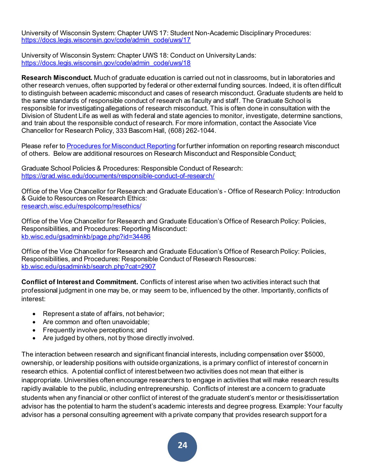University of Wisconsin System: Chapter UWS 17: Student Non-Academic Disciplinary Procedures: [https://docs.legis.wisconsin.gov/code/admin\\_code/uws/17](https://docs.legis.wisconsin.gov/code/admin_code/uws/17)

University of Wisconsin System: Chapter UWS 18: Conduct on University Lands: [https://docs.legis.wisconsin.gov/code/admin\\_code/uws/18](https://docs.legis.wisconsin.gov/code/admin_code/uws/18)

<span id="page-23-0"></span>**Research Misconduct.** Much of graduate education is carried out not in classrooms, but in laboratories and other research venues, often supported by federal or other external funding sources. Indeed, it is often difficult to distinguish between academic misconduct and cases of research misconduct. Graduate students are held to the same standards of responsible conduct of research as faculty and staff. The Graduate School is responsible for investigating allegations of research misconduct. This is often done in consultation with the Division of Student Life as well as with federal and state agencies to monitor, investigate, determine sanctions, and train about the responsible conduct of research. For more information, contact the Associate Vice Chancellor for Research Policy, 333 Bascom Hall, (608) 262-1044.

Please refer t[o Procedures for Misconduct Reporting](https://research.wisc.edu/kb-article/?id=34485) for further information on reporting research misconduct of others. Below are additional resources on Research Misconduct and Responsible Conduct:

Graduate School Policies & Procedures: Responsible Conduct of Research: <https://grad.wisc.edu/documents/responsible-conduct-of-research/>

Office of the Vice Chancellor for Research and Graduate Education's - Office of Research Policy: Introduction & Guide to Resources on Research Ethics: [research.wisc.edu/respolcomp/resethics/](https://research.wisc.edu/respolcomp/resethics/)

Office of the Vice Chancellor for Research and Graduate Education's Office of Research Policy: Policies, Responsibilities, and Procedures: Reporting Misconduct: [kb.wisc.edu/gsadminkb/page.php?id=34486](http://kb.wisc.edu/gsadminkb/page.php?id=34486)

Office of the Vice Chancellor for Research and Graduate Education's Office of Research Policy: Policies, Responsibilities, and Procedures: Responsible Conduct of Research Resources: [kb.wisc.edu/gsadminkb/search.php?cat=2907](https://kb.wisc.edu/gsadminkb/search.php?cat=2907)

<span id="page-23-1"></span>**Conflict of Interest and Commitment.** Conflicts of interest arise when two activities interact such that professional judgment in one may be, or may seem to be, influenced by the other. Importantly, conflicts of interest:

- Represent a state of affairs, not behavior;
- Are common and often unavoidable;
- Frequently involve perceptions; and
- Are judged by others, not by those directly involved.

The interaction between research and significant financial interests, including compensation over \$5000, ownership, or leadership positions with outside organizations, is a primary conflict of interest of concern in research ethics. A potential conflict of interest between two activities does not mean that either is inappropriate. Universities often encourage researchers to engage in activities that will make research results rapidly available to the public, including entrepreneurship. Conflicts of interest are a concern to graduate students when any financial or other conflict of interest of the graduate student's mentor or thesis/dissertation advisor has the potential to harm the student's academic interests and degree progress. Example: Your faculty advisor has a personal consulting agreement with a private company that provides research support for a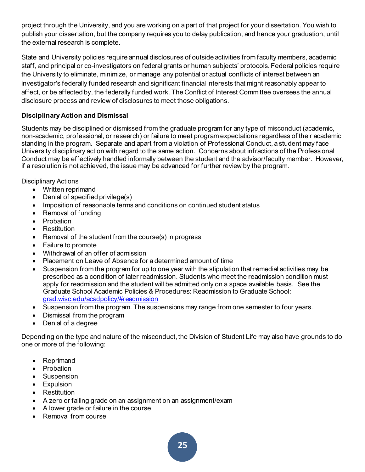project through the University, and you are working on a part of that project for your dissertation. You wish to publish your dissertation, but the company requires you to delay publication, and hence your graduation, until the external research is complete.

State and University policies require annual disclosures of outside activities from faculty members, academic staff, and principal or co-investigators on federal grants or human subjects' protocols. Federal policies require the University to eliminate, minimize, or manage any potential or actual conflicts of interest between an investigator's federally funded research and significant financial interests that might reasonably appear to affect, or be affected by, the federally funded work. The Conflict of Interest Committee oversees the annual disclosure process and review of disclosures to meet those obligations.

## <span id="page-24-0"></span>**Disciplinary Action and Dismissal**

Students may be disciplined or dismissed from the graduate program for any type of misconduct (academic, non-academic, professional, or research) or failure to meet program expectations regardless of their academic standing in the program. Separate and apart from a violation of Professional Conduct, a student may face University disciplinary action with regard to the same action. Concerns about infractions of the Professional Conduct may be effectively handled informally between the student and the advisor/faculty member. However, if a resolution is not achieved, the issue may be advanced for further review by the program.

Disciplinary Actions

- Written reprimand
- Denial of specified privilege(s)
- Imposition of reasonable terms and conditions on continued student status
- Removal of funding
- Probation
- Restitution
- Removal of the student from the course(s) in progress
- Failure to promote
- Withdrawal of an offer of admission
- Placement on Leave of Absence for a determined amount of time
- Suspension from the program for up to one year with the stipulation that remedial activities may be prescribed as a condition of later readmission. Students who meet the readmission condition must apply for readmission and the student will be admitted only on a space available basis. See the Graduate School Academic Policies & Procedures: Readmission to Graduate School: [grad.wisc.edu/acadpolicy/#readmission](https://grad.wisc.edu/acadpolicy/#readmission)
- Suspension from the program. The suspensions may range from one semester to four years.
- Dismissal from the program
- Denial of a degree

Depending on the type and nature of the misconduct, the Division of Student Life may also have grounds to do one or more of the following:

- Reprimand
- Probation
- Suspension
- Expulsion
- Restitution
- A zero or failing grade on an assignment on an assignment/exam
- A lower grade or failure in the course
- Removal from course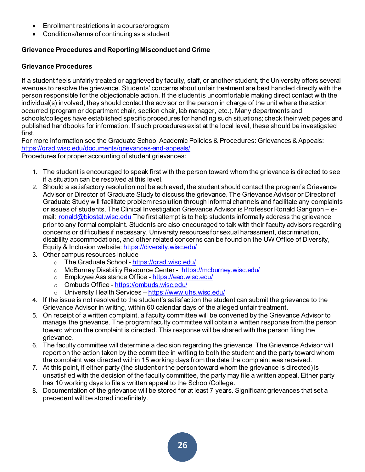- Enrollment restrictions in a course/program
- Conditions/terms of continuing as a student

## <span id="page-25-0"></span>**Grievance Procedures and Reporting Misconduct and Crime**

## <span id="page-25-1"></span>**Grievance Procedures**

If a student feels unfairly treated or aggrieved by faculty, staff, or another student, the University offers several avenues to resolve the grievance. Students' concerns about unfair treatment are best handled directly with the person responsible for the objectionable action. If the student is uncomfortable making direct contact with the individual(s) involved, they should contact the advisor or the person in charge of the unit where the action occurred (program or department chair, section chair, lab manager, etc.). Many departments and schools/colleges have established specific procedures for handling such situations; check their web pages and published handbooks for information. If such procedures exist at the local level, these should be investigated first.

For more information see the Graduate School Academic Policies & Procedures: Grievances & Appeals: <https://grad.wisc.edu/documents/grievances-and-appeals/> Procedures for proper accounting of student grievances:

- 1. The student is encouraged to speak first with the person toward whom the grievance is directed to see if a situation can be resolved at this level.
- 2. Should a satisfactory resolution not be achieved, the student should contact the program's Grievance Advisor or Director of Graduate Study to discuss the grievance. The Grievance Advisor or Director of Graduate Study will facilitate problem resolution through informal channels and facilitate any complaints or issues of students. The Clinical Investigation Grievance Advisor is Professor Ronald Gangnon – email: [ronald@biostat.wisc.edu](mailto:ronald@biostat.wisc.edu) The first attempt is to help students informally address the grievance prior to any formal complaint. Students are also encouraged to talk with their faculty advisors regarding concerns or difficulties if necessary. University resources for sexual harassment, discrimination, disability accommodations, and other related concerns can be found on the UW Office of Diversity, Equity & Inclusion website[: https://diversity.wisc.edu/](https://diversity.wisc.edu/)
- 3. Other campus resources include
	- o The Graduate School <https://grad.wisc.edu/>
	- o McBurney Disability Resource Center -<https://mcburney.wisc.edu/>
	- o Employee Assistance Office <https://eao.wisc.edu/>
	- o Ombuds Office <https://ombuds.wisc.edu/>
	- o University Health Services <https://www.uhs.wisc.edu/>
- 4. If the issue is not resolved to the student's satisfaction the student can submit the grievance to the Grievance Advisor in writing, within 60 calendar days of the alleged unfair treatment.
- 5. On receipt of a written complaint, a faculty committee will be convened by the Grievance Advisor to manage the grievance. The program faculty committee will obtain a written response from the person toward whom the complaint is directed. This response will be shared with the person filing the grievance.
- 6. The faculty committee will determine a decision regarding the grievance. The Grievance Advisor will report on the action taken by the committee in writing to both the student and the party toward whom the complaint was directed within 15 working days from the date the complaint was received.
- 7. At this point, if either party (the student or the person toward whom the grievance is directed) is unsatisfied with the decision of the faculty committee, the party may file a written appeal. Either party has 10 working days to file a written appeal to the School/College.
- 8. Documentation of the grievance will be stored for at least 7 years. Significant grievances that set a precedent will be stored indefinitely.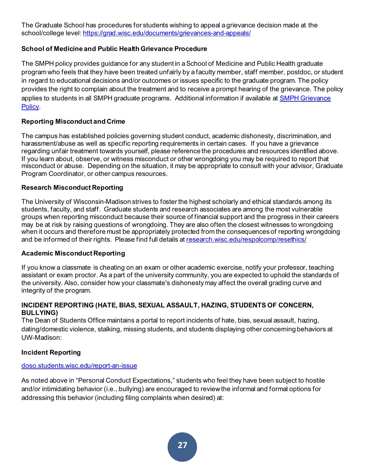The Graduate School has procedures for students wishing to appeal a grievance decision made at the school/college level[: https://grad.wisc.edu/documents/grievances-and-appeals/](https://grad.wisc.edu/documents/grievances-and-appeals/)

## <span id="page-26-0"></span>**School of Medicine and Public Health Grievance Procedure**

The SMPH policy provides guidance for any student in a School of Medicine and Public Health graduate program who feels that they have been treated unfairly by a faculty member, staff member, postdoc, or student in regard to educational decisions and/or outcomes or issues specific to the graduate program. The policy provides the right to complain about the treatment and to receive a prompt hearing of the grievance. The policy applies to students in all SMPH graduate programs. Additional information if available at **SMPH Grievance** [Policy.](https://uwmadison.app.box.com/s/4rm30lmzb26ix51t45bu3eqxyoepn5wm)

## <span id="page-26-1"></span>**Reporting Misconduct and Crime**

The campus has established policies governing student conduct, academic dishonesty, discrimination, and harassment/abuse as well as specific reporting requirements in certain cases. If you have a grievance regarding unfair treatment towards yourself, please reference the procedures and resources identified above. If you learn about, observe, or witness misconduct or other wrongdoing you may be required to report that misconduct or abuse. Depending on the situation, it may be appropriate to consult with your advisor, Graduate Program Coordinator, or other campus resources.

## **Research Misconduct Reporting**

The University of Wisconsin-Madison strives to foster the highest scholarly and ethical standards among its students, faculty, and staff. Graduate students and research associates are among the most vulnerable groups when reporting misconduct because their source of financial support and the progress in their careers may be at risk by raising questions of wrongdoing. They are also often the closest witnesses to wrongdoing when it occurs and therefore must be appropriately protected from the consequences of reporting wrongdoing and be informed of their rights. Please find full details at [research.wisc.edu/respolcomp/resethics/](https://research.wisc.edu/respolcomp/resethics/)

## **Academic Misconduct Reporting**

If you know a classmate is cheating on an exam or other academic exercise, notify your professor, teaching assistant or exam proctor. As a part of the university community, you are expected to uphold the standards of the university. Also, consider how your classmate's dishonesty may affect the overall grading curve and integrity of the program.

#### <span id="page-26-2"></span>**INCIDENT REPORTING (HATE, BIAS, SEXUAL ASSAULT, HAZING, STUDENTS OF CONCERN, BULLYING)**

The Dean of Students Office maintains a portal to report incidents of hate, bias, sexual assault, hazing, dating/domestic violence, stalking, missing students, and students displaying other concerning behaviors at UW-Madison:

## <span id="page-26-3"></span>**Incident Reporting**

#### [doso.students.wisc.edu/report-an-issue](https://doso.students.wisc.edu/report-an-issue/)

As noted above in "Personal Conduct Expectations," students who feel they have been subject to hostile and/or intimidating behavior (i.e., bullying) are encouraged to review the informal and formal options for addressing this behavior (including filing complaints when desired) at: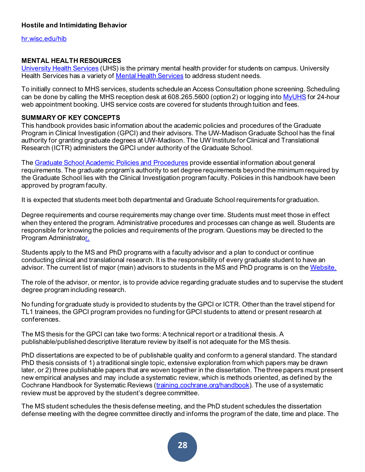## <span id="page-27-0"></span>**Hostile and Intimidating Behavior**

[hr.wisc.edu/hib](https://hr.wisc.edu/hib/)

#### <span id="page-27-1"></span>**MENTAL HEALTH RESOURCES**

[University Health Services](https://www.uhs.wisc.edu/) (UHS) is the primary mental health provider for students on campus. University Health Services has a variety of [Mental Health Services](https://www.uhs.wisc.edu/mental-health/group-counseling/) to address student needs.

To initially connect to MHS services, students schedule an Access Consultation phone screening. Scheduling can be done by calling the MHS reception desk at 608.265.5600 (option 2) or logging int[o MyUHS](https://myuhs.uhs.wisc.edu/login_dualauthentication.aspx) for 24-hour web appointment booking. UHS service costs are covered for students through tuition and fees.

#### <span id="page-27-2"></span>**SUMMARY OF KEY CONCEPTS**

This handbook provides basic information about the academic policies and procedures of the Graduate Program in Clinical Investigation (GPCI) and their advisors. The UW-Madison Graduate School has the final authority for granting graduate degrees at UW-Madison. The UW Institute for Clinical and Translational Research (ICTR) administers the GPCI under authority of the Graduate School.

The [Graduate School Academic Policies and Procedures](https://grad.wisc.edu/academic-policies/) provide essential information about general requirements. The graduate program's authority to set degree requirements beyond the minimum required by the Graduate School lies with the Clinical Investigation program faculty. Policies in this handbook have been approved by program faculty.

It is expected that students meet both departmental and Graduate School requirements for graduation.

Degree requirements and course requirements may change over time. Students must meet those in effect when they entered the program. Administrative procedures and processes can change as well. Students are responsible for knowing the policies and requirements of the program. Questions may be directed to the Program Administrator.

Students apply to the MS and PhD programs with a faculty advisor and a plan to conduct or continue conducting clinical and translational research. It is the responsibility of every graduate student to have an advisor. The current list of major (main) advisors to students in the MS and PhD programs is on the [Website.](https://ictr.wisc.edu/GPCIadvisors)

The role of the advisor, or mentor, is to provide advice regarding graduate studies and to supervise the student degree program including research.

No funding for graduate study is provided to students by the GPCI or ICTR. Other than the travel stipend for TL1 trainees, the GPCI program provides no funding for GPCI students to attend or present research at conferences.

The MS thesis for the GPCI can take two forms: A technical report or a traditional thesis. A publishable/published descriptive literature review by itself is not adequate for the MS thesis.

PhD dissertations are expected to be of publishable quality and conform to a general standard. The standard PhD thesis consists of 1) a traditional single topic, extensive exploration from which papers may be drawn later, or 2) three publishable papers that are woven together in the dissertation. The three papers must present new empirical analyses and may include a systematic review, which is methods oriented, as defined by the Cochrane Handbook for Systematic Reviews [\(training.cochrane.org/handbook](https://training.cochrane.org/handbook)). The use of a systematic review must be approved by the student's degree committee.

The MS student schedules the thesis defense meeting, and the PhD student schedules the dissertation defense meeting with the degree committee directly and informs the program of the date, time and place. The